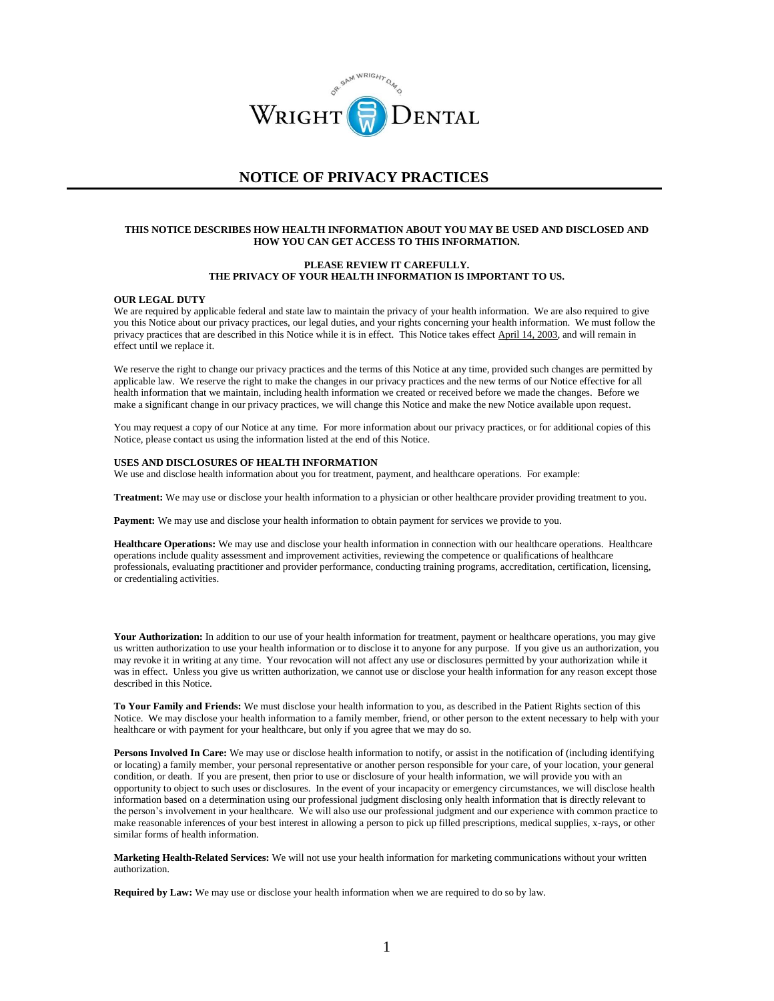

# **NOTICE OF PRIVACY PRACTICES**

# **THIS NOTICE DESCRIBES HOW HEALTH INFORMATION ABOUT YOU MAY BE USED AND DISCLOSED AND HOW YOU CAN GET ACCESS TO THIS INFORMATION.**

# **PLEASE REVIEW IT CAREFULLY. THE PRIVACY OF YOUR HEALTH INFORMATION IS IMPORTANT TO US.**

## **OUR LEGAL DUTY**

We are required by applicable federal and state law to maintain the privacy of your health information. We are also required to give you this Notice about our privacy practices, our legal duties, and your rights concerning your health information. We must follow the privacy practices that are described in this Notice while it is in effect. This Notice takes effect April 14, 2003, and will remain in effect until we replace it.

We reserve the right to change our privacy practices and the terms of this Notice at any time, provided such changes are permitted by applicable law. We reserve the right to make the changes in our privacy practices and the new terms of our Notice effective for all health information that we maintain, including health information we created or received before we made the changes. Before we make a significant change in our privacy practices, we will change this Notice and make the new Notice available upon request.

You may request a copy of our Notice at any time. For more information about our privacy practices, or for additional copies of this Notice, please contact us using the information listed at the end of this Notice.

#### **USES AND DISCLOSURES OF HEALTH INFORMATION**

We use and disclose health information about you for treatment, payment, and healthcare operations. For example:

**Treatment:** We may use or disclose your health information to a physician or other healthcare provider providing treatment to you.

Payment: We may use and disclose your health information to obtain payment for services we provide to you.

Healthcare Operations: We may use and disclose your health information in connection with our healthcare operations. Healthcare operations include quality assessment and improvement activities, reviewing the competence or qualifications of healthcare professionals, evaluating practitioner and provider performance, conducting training programs, accreditation, certification, licensing, or credentialing activities.

Your Authorization: In addition to our use of your health information for treatment, payment or healthcare operations, you may give us written authorization to use your health information or to disclose it to anyone for any purpose. If you give us an authorization, you may revoke it in writing at any time. Your revocation will not affect any use or disclosures permitted by your authorization while it was in effect. Unless you give us written authorization, we cannot use or disclose your health information for any reason except those described in this Notice.

**To Your Family and Friends:** We must disclose your health information to you, as described in the Patient Rights section of this Notice. We may disclose your health information to a family member, friend, or other person to the extent necessary to help with your healthcare or with payment for your healthcare, but only if you agree that we may do so.

**Persons Involved In Care:** We may use or disclose health information to notify, or assist in the notification of (including identifying or locating) a family member, your personal representative or another person responsible for your care, of your location, your general condition, or death. If you are present, then prior to use or disclosure of your health information, we will provide you with an opportunity to object to such uses or disclosures. In the event of your incapacity or emergency circumstances, we will disclose health information based on a determination using our professional judgment disclosing only health information that is directly relevant to the person's involvement in your healthcare. We will also use our professional judgment and our experience with common practice to make reasonable inferences of your best interest in allowing a person to pick up filled prescriptions, medical supplies, x-rays, or other similar forms of health information.

**Marketing Health-Related Services:** We will not use your health information for marketing communications without your written authorization.

**Required by Law:** We may use or disclose your health information when we are required to do so by law.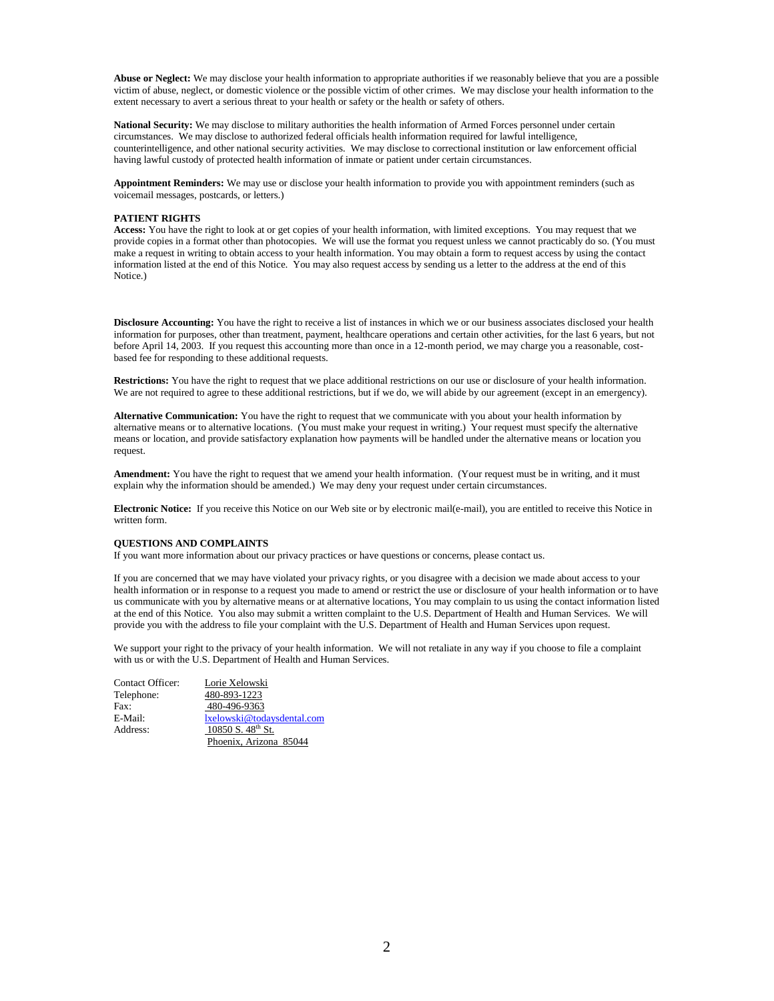**Abuse or Neglect:** We may disclose your health information to appropriate authorities if we reasonably believe that you are a possible victim of abuse, neglect, or domestic violence or the possible victim of other crimes. We may disclose your health information to the extent necessary to avert a serious threat to your health or safety or the health or safety of others.

**National Security:** We may disclose to military authorities the health information of Armed Forces personnel under certain circumstances. We may disclose to authorized federal officials health information required for lawful intelligence, counterintelligence, and other national security activities. We may disclose to correctional institution or law enforcement official having lawful custody of protected health information of inmate or patient under certain circumstances.

**Appointment Reminders:** We may use or disclose your health information to provide you with appointment reminders (such as voicemail messages, postcards, or letters.)

### **PATIENT RIGHTS**

**Access:** You have the right to look at or get copies of your health information, with limited exceptions. You may request that we provide copies in a format other than photocopies. We will use the format you request unless we cannot practicably do so. (You must make a request in writing to obtain access to your health information. You may obtain a form to request access by using the contact information listed at the end of this Notice. You may also request access by sending us a letter to the address at the end of this Notice.)

**Disclosure Accounting:** You have the right to receive a list of instances in which we or our business associates disclosed your health information for purposes, other than treatment, payment, healthcare operations and certain other activities, for the last 6 years, but not before April 14, 2003. If you request this accounting more than once in a 12-month period, we may charge you a reasonable, costbased fee for responding to these additional requests.

**Restrictions:** You have the right to request that we place additional restrictions on our use or disclosure of your health information. We are not required to agree to these additional restrictions, but if we do, we will abide by our agreement (except in an emergency).

**Alternative Communication:** You have the right to request that we communicate with you about your health information by alternative means or to alternative locations. (You must make your request in writing.) Your request must specify the alternative means or location, and provide satisfactory explanation how payments will be handled under the alternative means or location you request.

**Amendment:** You have the right to request that we amend your health information. (Your request must be in writing, and it must explain why the information should be amended.) We may deny your request under certain circumstances.

**Electronic Notice:** If you receive this Notice on our Web site or by electronic mail(e-mail), you are entitled to receive this Notice in written form.

#### **QUESTIONS AND COMPLAINTS**

If you want more information about our privacy practices or have questions or concerns, please contact us.

If you are concerned that we may have violated your privacy rights, or you disagree with a decision we made about access to your health information or in response to a request you made to amend or restrict the use or disclosure of your health information or to have us communicate with you by alternative means or at alternative locations, You may complain to us using the contact information listed at the end of this Notice. You also may submit a written complaint to the U.S. Department of Health and Human Services. We will provide you with the address to file your complaint with the U.S. Department of Health and Human Services upon request.

We support your right to the privacy of your health information. We will not retaliate in any way if you choose to file a complaint with us or with the U.S. Department of Health and Human Services.

| Contact Officer: | Lorie Xelowski                |
|------------------|-------------------------------|
| Telephone:       | 480-893-1223                  |
| Fax:             | 480-496-9363                  |
| E-Mail:          | lxelowski@todaysdental.com    |
| Address:         | 10850 S. 48 <sup>th</sup> St. |
|                  | Phoenix, Arizona 85044        |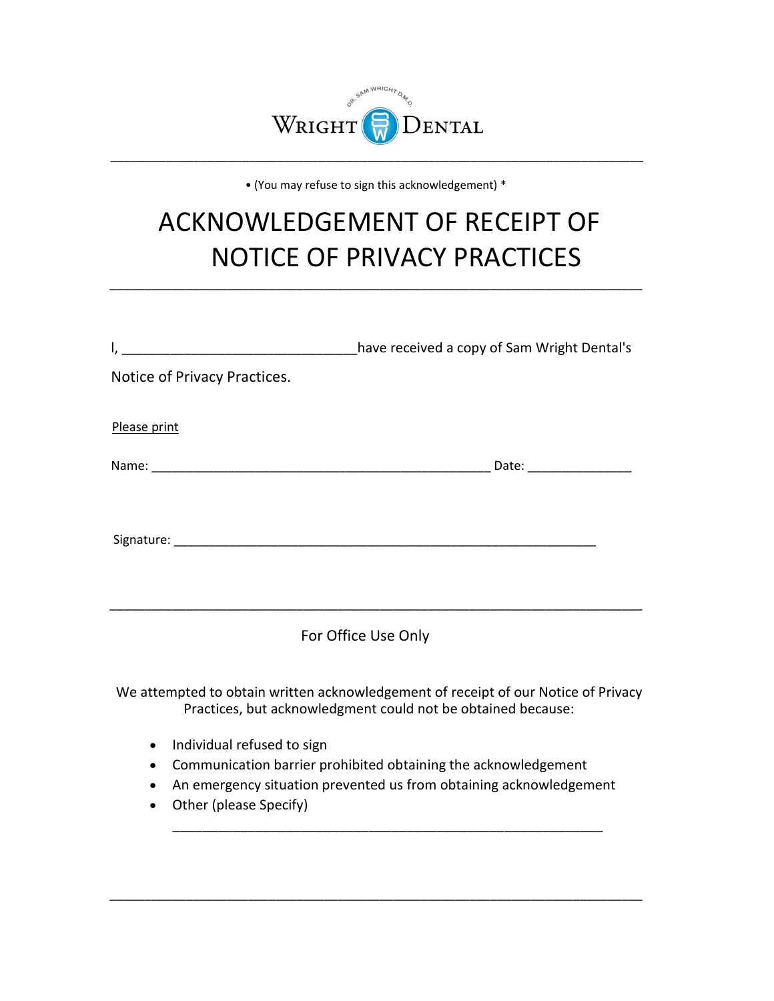

• (You may refuse to sign this acknowledgement) \*

\_\_\_\_\_\_\_\_\_\_\_\_\_\_\_\_\_\_\_\_\_\_\_\_\_\_\_\_\_\_\_\_\_\_\_\_\_\_\_\_\_\_\_\_\_\_\_\_\_\_\_\_\_\_\_\_\_\_\_\_\_\_\_\_\_\_\_\_\_\_\_\_\_\_\_\_\_

# ACKNOWLEDGEMENT OF RECEIPT OF NOTICE OF PRIVACY PRACTICES

\_\_\_\_\_\_\_\_\_\_\_\_\_\_\_\_\_\_\_\_\_\_\_\_\_\_\_\_\_\_\_\_\_\_\_\_\_\_\_\_\_\_\_\_\_\_\_\_\_\_\_\_\_\_\_\_\_\_\_\_\_\_\_\_\_\_\_\_\_\_\_\_\_\_\_\_\_

|              | have received a copy of Sam Wright Dental's<br><u>1, et al. – Alexander State Barbara (h. 18</u>                                                   |
|--------------|----------------------------------------------------------------------------------------------------------------------------------------------------|
|              | Notice of Privacy Practices.                                                                                                                       |
| Please print |                                                                                                                                                    |
|              |                                                                                                                                                    |
|              |                                                                                                                                                    |
|              | Signature: National Accounts and Accounts and Accounts and Accounts and Accounts and Accounts and Accounts and                                     |
|              |                                                                                                                                                    |
|              | For Office Use Only                                                                                                                                |
|              | We attempted to obtain written acknowledgement of receipt of our Notice of Privacy<br>Practices, but acknowledgment could not be obtained because: |
|              | Individual refused to sign                                                                                                                         |
| ٠            | Communication barrier prohibited obtaining the acknowledgement<br>An emergency situation prevented us from obtaining acknowledgement               |
| $\bullet$    | Other (please Specify)                                                                                                                             |

\_\_\_\_\_\_\_\_\_\_\_\_\_\_\_\_\_\_\_\_\_\_\_\_\_\_\_\_\_\_\_\_\_\_\_\_\_\_\_\_\_\_\_\_\_\_\_\_\_\_\_\_\_\_\_\_\_\_\_\_\_\_\_\_\_\_\_\_\_\_\_\_\_\_\_\_\_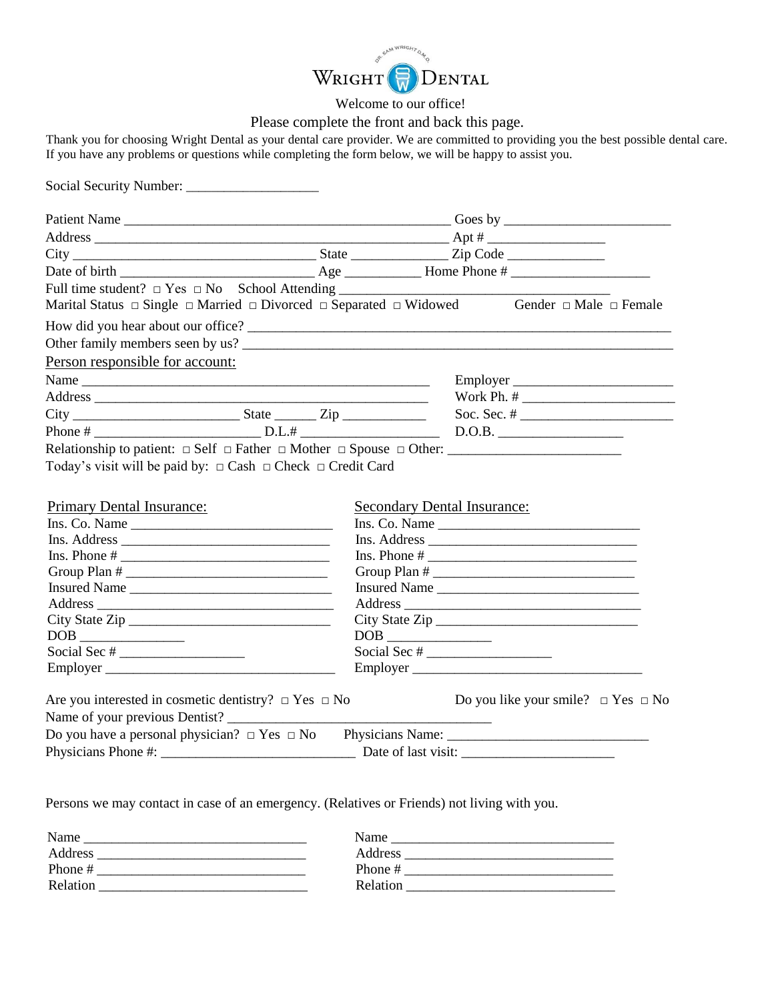

Welcome to our office!

Please complete the front and back this page.

Thank you for choosing Wright Dental as your dental care provider. We are committed to providing you the best possible dental care. If you have any problems or questions while completing the form below, we will be happy to assist you.

| Full time student? $\Box$ Yes $\Box$ No School Attending                                                                             |                                                                         |                                                                 |
|--------------------------------------------------------------------------------------------------------------------------------------|-------------------------------------------------------------------------|-----------------------------------------------------------------|
| Marital Status $\Box$ Single $\Box$ Married $\Box$ Divorced $\Box$ Separated $\Box$ Widowed Gender $\Box$ Male $\Box$ Female         |                                                                         |                                                                 |
| How did you hear about our office?                                                                                                   |                                                                         |                                                                 |
|                                                                                                                                      |                                                                         |                                                                 |
| Person responsible for account:                                                                                                      |                                                                         |                                                                 |
|                                                                                                                                      |                                                                         | Employer                                                        |
|                                                                                                                                      |                                                                         |                                                                 |
|                                                                                                                                      |                                                                         | Soc. Sec. $\#$                                                  |
|                                                                                                                                      |                                                                         | D.O.B.                                                          |
|                                                                                                                                      |                                                                         |                                                                 |
| <b>Primary Dental Insurance:</b><br>$\text{Ins. Phone} \# \_$<br>Insured Name<br>City State Zip<br>$\boxed{\text{DOB}}_{\text{max}}$ | <b>Secondary Dental Insurance:</b><br>$\boxed{\text{DOB}}_{\text{max}}$ | Ins. Co. Name<br>Insured Name<br>City State Zip<br>Social Sec # |
| Are you interested in cosmetic dentistry? $\Box$ Yes $\Box$ No                                                                       |                                                                         | Do you like your smile? $\Box$ Yes $\Box$ No                    |
| Persons we may contact in case of an emergency. (Relatives or Friends) not living with you.                                          |                                                                         |                                                                 |

| Name     | Name     |
|----------|----------|
| Address  | Address  |
| Phone #  | Phone #  |
| Relation | Relation |
|          |          |